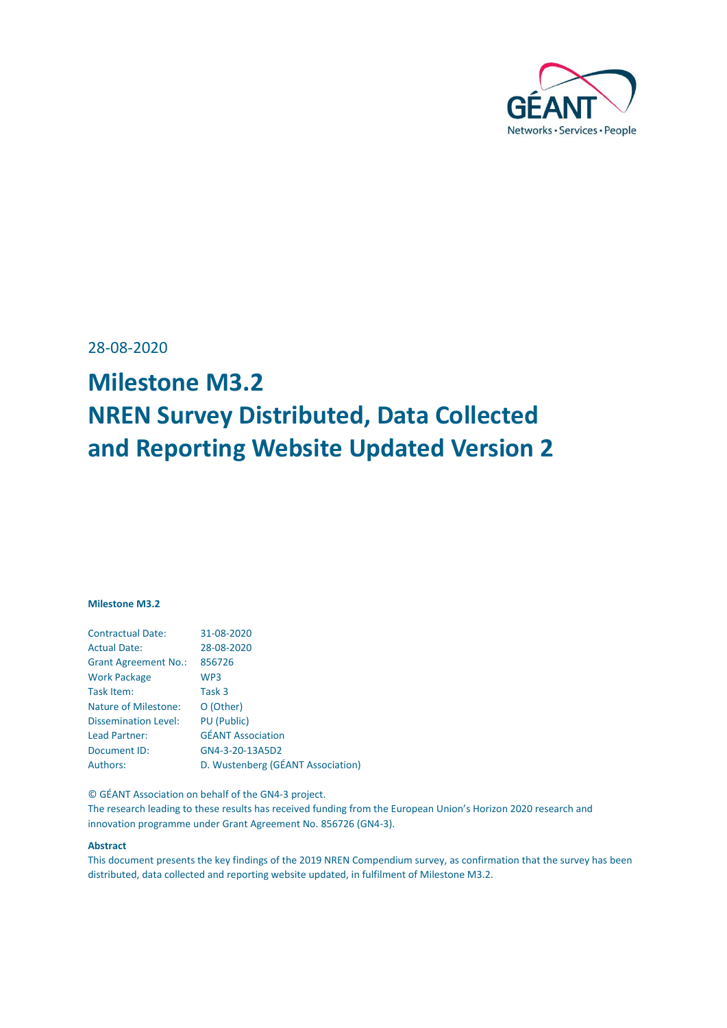

<span id="page-0-0"></span>28-08-2020

# **Milestone M3.2 NREN Survey Distributed, Data Collected and Reporting Website Updated Version 2**

#### **Milestone M3.2**

| <b>Contractual Date:</b>    | 31-08-2020                        |
|-----------------------------|-----------------------------------|
| <b>Actual Date:</b>         | 28-08-2020                        |
| <b>Grant Agreement No.:</b> | 856726                            |
| <b>Work Package</b>         | WP <sub>3</sub>                   |
| Task Item:                  | Task 3                            |
| <b>Nature of Milestone:</b> | O (Other)                         |
| <b>Dissemination Level:</b> | <b>PU</b> (Public)                |
| Lead Partner:               | <b>GÉANT Association</b>          |
| Document ID:                | GN4-3-20-13A5D2                   |
| Authors:                    | D. Wustenberg (GÉANT Association) |
|                             |                                   |

© GÉANT Association on behalf of the GN4-3 project.

The research leading to these results has received funding from the European Union's Horizon 2020 research and innovation programme under Grant Agreement No. 856726 (GN4-3).

#### **Abstract**

This document presents the key findings of the 2019 NREN Compendium survey, as confirmation that the survey has been distributed, data collected and reporting website updated, in fulfilment of Milestone M3.2.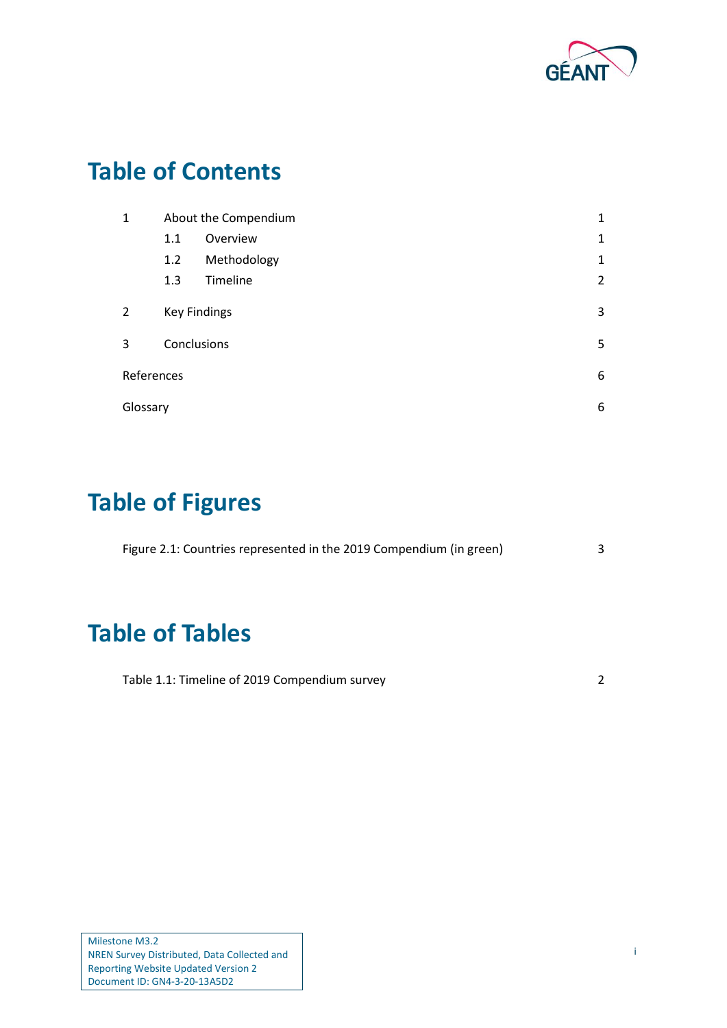

# **Table of Contents**

| 1          |             | About the Compendium | $\mathbf{1}$   |
|------------|-------------|----------------------|----------------|
|            | 1.1         | Overview             | $\mathbf{1}$   |
|            | 1.2         | Methodology          | $\mathbf{1}$   |
|            | 1.3         | Timeline             | $\overline{2}$ |
| 2          |             | <b>Key Findings</b>  | 3              |
| 3          | Conclusions |                      | 5              |
| References |             |                      | 6              |
| Glossary   |             |                      | 6              |

# **Table of Figures**

| Figure 2.1: Countries represented in the 2019 Compendium (in green) |  |
|---------------------------------------------------------------------|--|
|                                                                     |  |
|                                                                     |  |

## **Table of Tables**

| Table 1.1: Timeline of 2019 Compendium survey |  |
|-----------------------------------------------|--|
|-----------------------------------------------|--|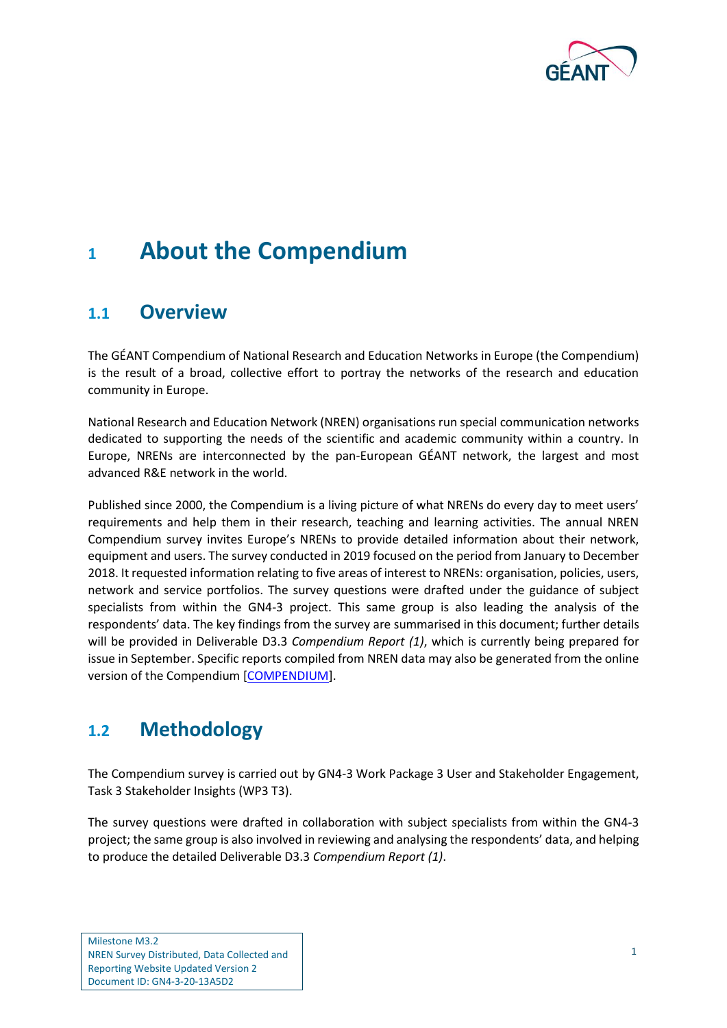

### <span id="page-2-0"></span>**<sup>1</sup> About the Compendium**

### <span id="page-2-1"></span>**1.1 Overview**

The GÉANT Compendium of National Research and Education Networks in Europe (the Compendium) is the result of a broad, collective effort to portray the networks of the research and education community in Europe.

National Research and Education Network (NREN) organisations run special communication networks dedicated to supporting the needs of the scientific and academic community within a country. In Europe, NRENs are interconnected by the pan-European GÉANT network, the largest and most advanced R&E network in the world.

Published since 2000, the Compendium is a living picture of what NRENs do every day to meet users' requirements and help them in their research, teaching and learning activities. The annual NREN Compendium survey invites Europe's NRENs to provide detailed information about their network, equipment and users. The survey conducted in 2019 focused on the period from January to December 2018. It requested information relating to five areas of interest to NRENs: organisation, policies, users, network and service portfolios. The survey questions were drafted under the guidance of subject specialists from within the GN4-3 project. This same group is also leading the analysis of the respondents' data. The key findings from the survey are summarised in this document; further details will be provided in Deliverable D3.3 *Compendium Report (1)*, which is currently being prepared for issue in September. Specific reports compiled from NREN data may also be generated from the online version of the Compendium [\[COMPENDIUM\]](#page-7-2).

### <span id="page-2-2"></span>**1.2 Methodology**

The Compendium survey is carried out by GN4-3 Work Package 3 User and Stakeholder Engagement, Task 3 Stakeholder Insights (WP3 T3).

The survey questions were drafted in collaboration with subject specialists from within the GN4-3 project; the same group is also involved in reviewing and analysing the respondents' data, and helping to produce the detailed Deliverable D3.3 *Compendium Report (1)*.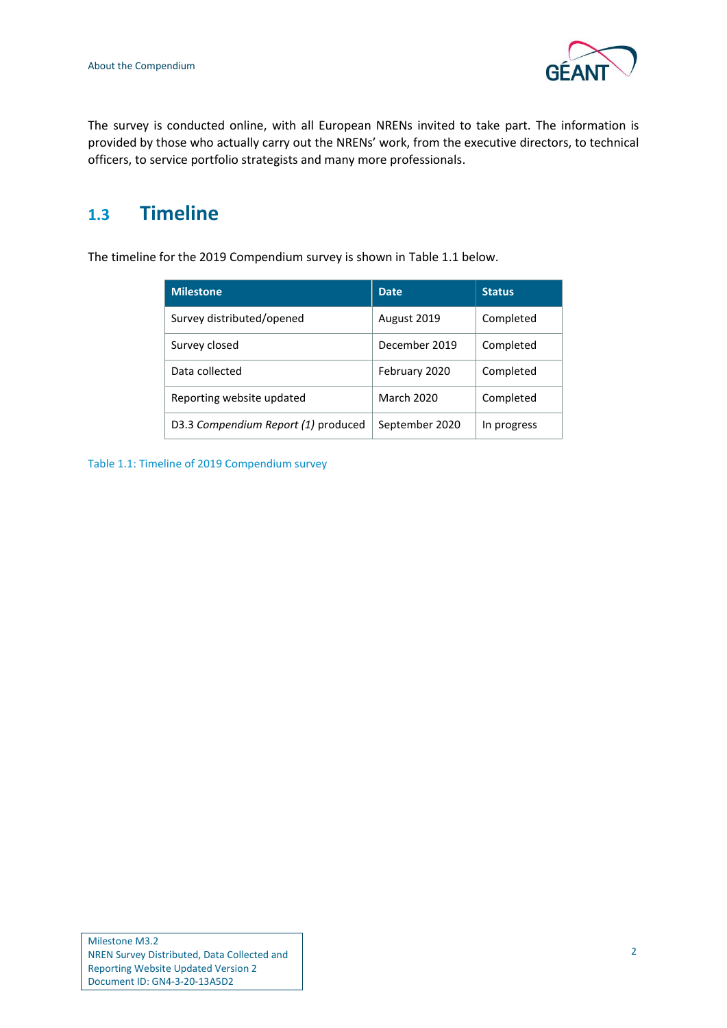

The survey is conducted online, with all European NRENs invited to take part. The information is provided by those who actually carry out the NRENs' work, from the executive directors, to technical officers, to service portfolio strategists and many more professionals.

### <span id="page-3-0"></span>**1.3 Timeline**

The timeline for the 2019 Compendium survey is shown in [Table 1.1](#page-3-1) below.

| <b>Milestone</b>                    | <b>Date</b>       | <b>Status</b> |
|-------------------------------------|-------------------|---------------|
| Survey distributed/opened           | August 2019       | Completed     |
| Survey closed                       | December 2019     | Completed     |
| Data collected                      | February 2020     | Completed     |
| Reporting website updated           | <b>March 2020</b> | Completed     |
| D3.3 Compendium Report (1) produced | September 2020    | In progress   |

<span id="page-3-1"></span>Table 1.1: Timeline of 2019 Compendium survey

Milestone M3.2 NREN Survey Distributed, Data Collected and Reporting Website Updated Version 2 Document ID: GN4-3-20-13A5D2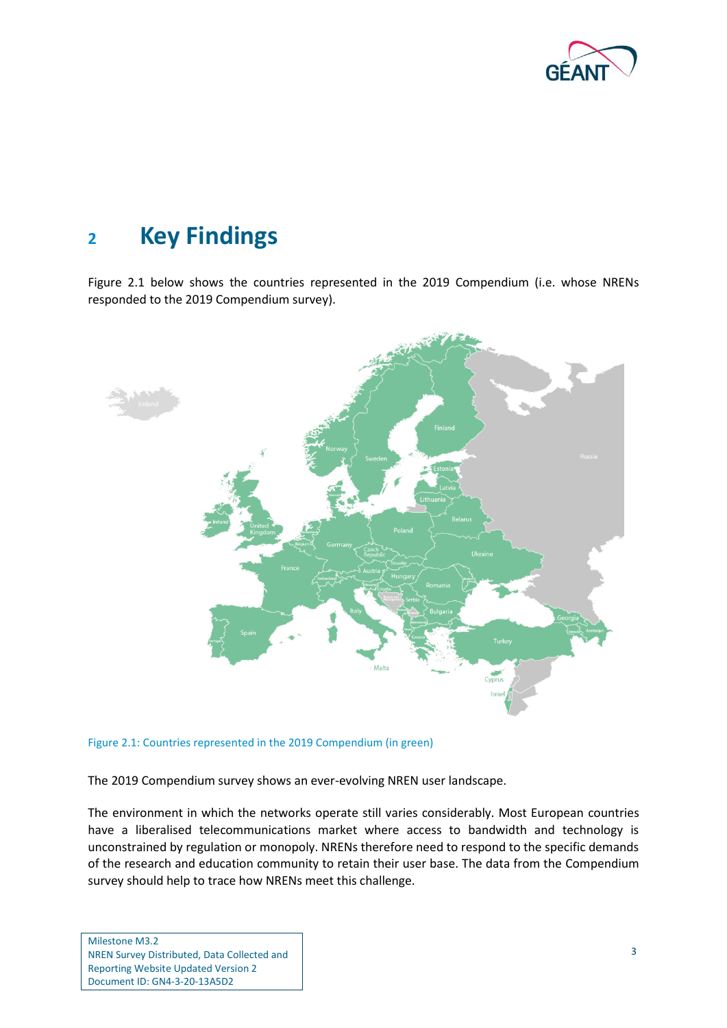

### <span id="page-4-0"></span>**<sup>2</sup> Key Findings**

[Figure 2.1](#page-4-1) below shows the countries represented in the 2019 Compendium (i.e. whose NRENs responded to the 2019 Compendium survey).



<span id="page-4-1"></span>Figure 2.1: Countries represented in the 2019 Compendium (in green)

The 2019 Compendium survey shows an ever-evolving NREN user landscape.

The environment in which the networks operate still varies considerably. Most European countries have a liberalised telecommunications market where access to bandwidth and technology is unconstrained by regulation or monopoly. NRENs therefore need to respond to the specific demands of the research and education community to retain their user base. The data from the Compendium survey should help to trace how NRENs meet this challenge.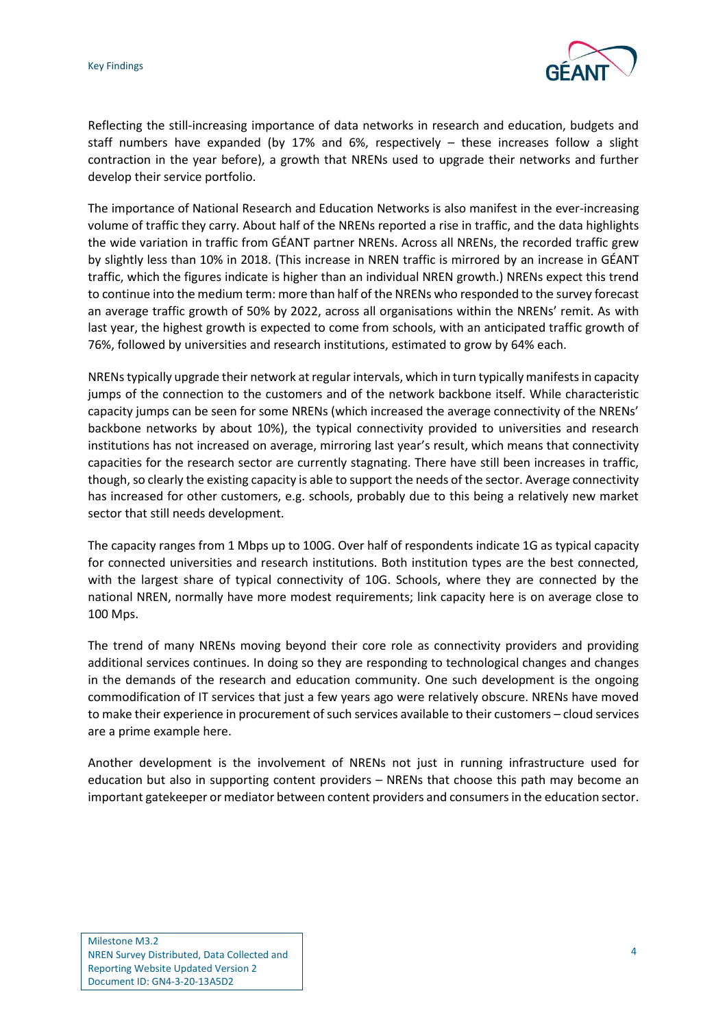

Reflecting the still-increasing importance of data networks in research and education, budgets and staff numbers have expanded (by 17% and 6%, respectively  $-$  these increases follow a slight contraction in the year before), a growth that NRENs used to upgrade their networks and further develop their service portfolio.

The importance of National Research and Education Networks is also manifest in the ever-increasing volume of traffic they carry. About half of the NRENs reported a rise in traffic, and the data highlights the wide variation in traffic from GÉANT partner NRENs. Across all NRENs, the recorded traffic grew by slightly less than 10% in 2018. (This increase in NREN traffic is mirrored by an increase in GÉANT traffic, which the figures indicate is higher than an individual NREN growth.) NRENs expect this trend to continue into the medium term: more than half of the NRENs who responded to the survey forecast an average traffic growth of 50% by 2022, across all organisations within the NRENs' remit. As with last year, the highest growth is expected to come from schools, with an anticipated traffic growth of 76%, followed by universities and research institutions, estimated to grow by 64% each.

NRENs typically upgrade their network at regular intervals, which in turn typically manifests in capacity jumps of the connection to the customers and of the network backbone itself. While characteristic capacity jumps can be seen for some NRENs (which increased the average connectivity of the NRENs' backbone networks by about 10%), the typical connectivity provided to universities and research institutions has not increased on average, mirroring last year's result, which means that connectivity capacities for the research sector are currently stagnating. There have still been increases in traffic, though, so clearly the existing capacity is able to support the needs of the sector. Average connectivity has increased for other customers, e.g. schools, probably due to this being a relatively new market sector that still needs development.

The capacity ranges from 1 Mbps up to 100G. Over half of respondents indicate 1G as typical capacity for connected universities and research institutions. Both institution types are the best connected, with the largest share of typical connectivity of 10G. Schools, where they are connected by the national NREN, normally have more modest requirements; link capacity here is on average close to 100 Mps.

The trend of many NRENs moving beyond their core role as connectivity providers and providing additional services continues. In doing so they are responding to technological changes and changes in the demands of the research and education community. One such development is the ongoing commodification of IT services that just a few years ago were relatively obscure. NRENs have moved to make their experience in procurement of such services available to their customers – cloud services are a prime example here.

Another development is the involvement of NRENs not just in running infrastructure used for education but also in supporting content providers – NRENs that choose this path may become an important gatekeeper or mediator between content providers and consumers in the education sector.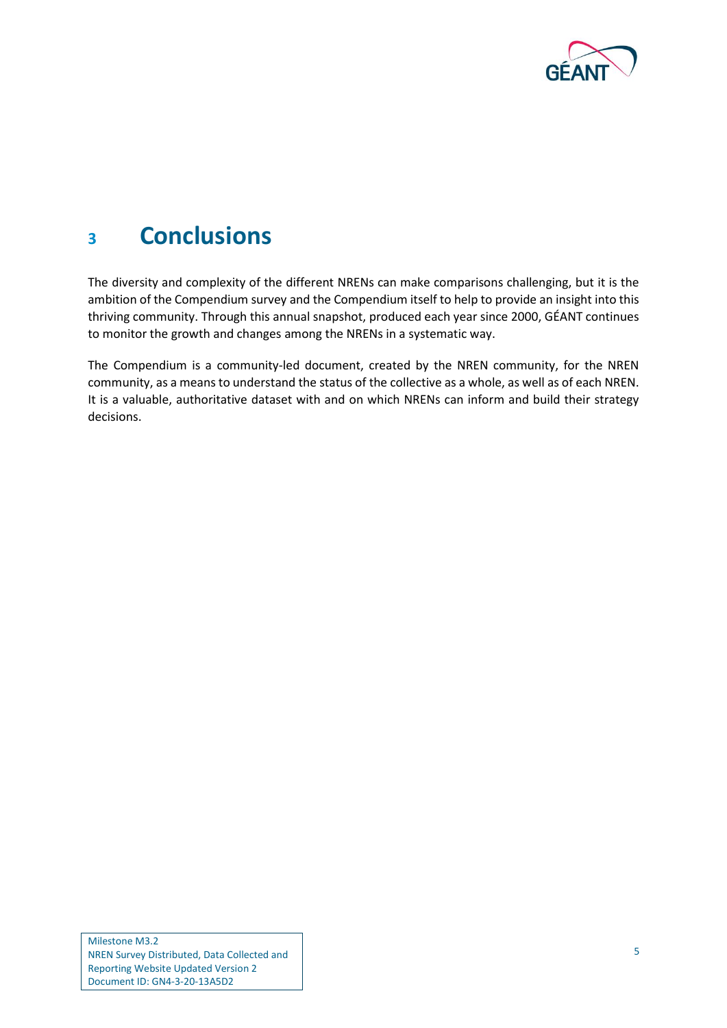

## <span id="page-6-0"></span>**<sup>3</sup> Conclusions**

The diversity and complexity of the different NRENs can make comparisons challenging, but it is the ambition of the Compendium survey and the Compendium itself to help to provide an insight into this thriving community. Through this annual snapshot, produced each year since 2000, GÉANT continues to monitor the growth and changes among the NRENs in a systematic way.

The Compendium is a community-led document, created by the NREN community, for the NREN community, as a means to understand the status of the collective as a whole, as well as of each NREN. It is a valuable, authoritative dataset with and on which NRENs can inform and build their strategy decisions.

Milestone M3.2 NREN Survey Distributed, Data Collected and Reporting Website Updated Version 2 Document ID: GN4-3-20-13A5D2